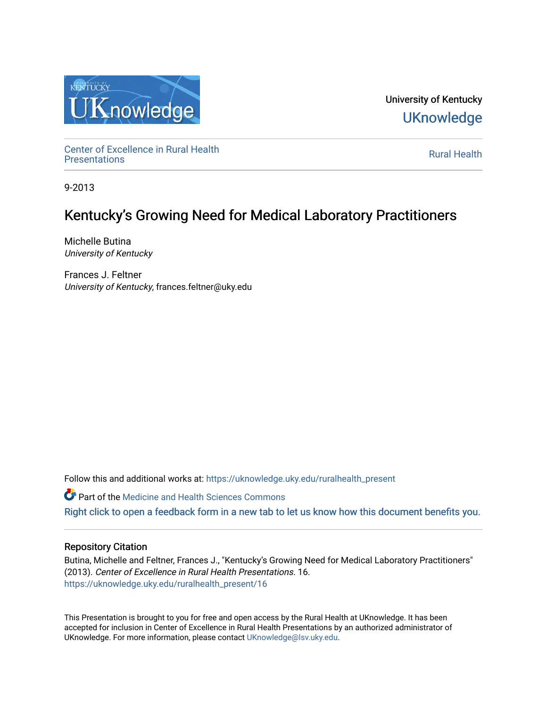

University of Kentucky **UKnowledge** 

Center of Excellence in Rural Health<br>Presentations Definer of Excellence in Kural Health<br>[Presentations](https://uknowledge.uky.edu/ruralhealth_present) **Rural Health** 

9-2013

#### Kentucky's Growing Need for Medical Laboratory Practitioners

Michelle Butina University of Kentucky

Frances J. Feltner University of Kentucky, frances.feltner@uky.edu

Follow this and additional works at: [https://uknowledge.uky.edu/ruralhealth\\_present](https://uknowledge.uky.edu/ruralhealth_present?utm_source=uknowledge.uky.edu%2Fruralhealth_present%2F16&utm_medium=PDF&utm_campaign=PDFCoverPages) 

**Part of the Medicine and Health Sciences Commons** 

[Right click to open a feedback form in a new tab to let us know how this document benefits you.](https://uky.az1.qualtrics.com/jfe/form/SV_9mq8fx2GnONRfz7)

#### Repository Citation

Butina, Michelle and Feltner, Frances J., "Kentucky's Growing Need for Medical Laboratory Practitioners" (2013). Center of Excellence in Rural Health Presentations. 16. [https://uknowledge.uky.edu/ruralhealth\\_present/16](https://uknowledge.uky.edu/ruralhealth_present/16?utm_source=uknowledge.uky.edu%2Fruralhealth_present%2F16&utm_medium=PDF&utm_campaign=PDFCoverPages)

This Presentation is brought to you for free and open access by the Rural Health at UKnowledge. It has been accepted for inclusion in Center of Excellence in Rural Health Presentations by an authorized administrator of UKnowledge. For more information, please contact [UKnowledge@lsv.uky.edu](mailto:UKnowledge@lsv.uky.edu).